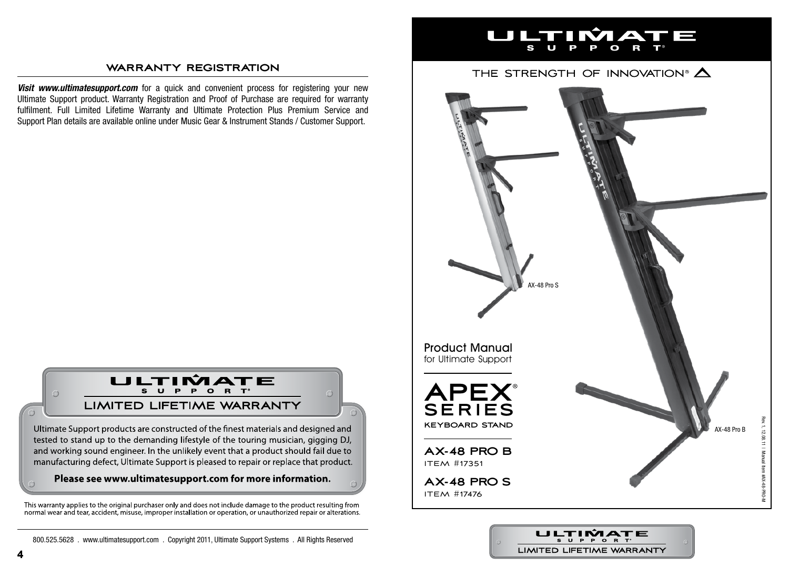#### **warranty registration**

**Visit www.ultimatesupport.com** for a quick and convenient process for registering your new Ultimate Support product. Warranty Registration and Proof of Purchase are required for warranty fulfilment. Full Limited Lifetime Warranty and Ultimate Protection Plus Premium Service and Support Plan details are available online under Music Gear & Instrument Stands / Customer Support.



Ultimate Support products are constructed of the finest materials and designed and tested to stand up to the demanding lifestyle of the touring musician, gigging DJ, and working sound engineer. In the unlikely event that a product should fail due to manufacturing defect, Ultimate Support is pleased to repair or replace that product.

### Please see www.ultimatesupport.com for more information.

This warranty applies to the original purchaser only and does not include damage to the product resulting from normal wear and tear, accident, misuse, improper installation or operation, or unauthorized repair or alterations.



## THE STRENGTH OF INNOVATION®  $\triangle$